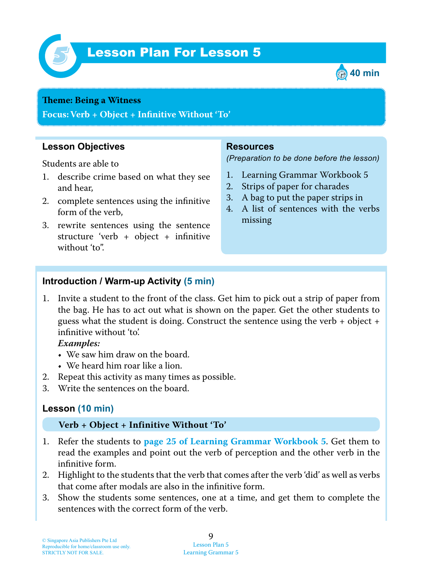

# Lesson Plan For Lesson 5 *5*



#### **Theme: Being a Witness**

**Focus: Verb + Object + Infinitive Without 'To'**

### **Lesson Objectives**

Students are able to

- 1. describe crime based on what they see and hear,
- 2. complete sentences using the infinitive form of the verb,
- 3. rewrite sentences using the sentence structure 'verb + object + infinitive without 'to".

#### **Resources**

*(Preparation to be done before the lesson)*

- 1. Learning Grammar Workbook 5
- 2. Strips of paper for charades
- 3. A bag to put the paper strips in
- 4. A list of sentences with the verbs missing

#### **Introduction / Warm-up Activity (5 min)**

1. Invite a student to the front of the class. Get him to pick out a strip of paper from the bag. He has to act out what is shown on the paper. Get the other students to guess what the student is doing. Construct the sentence using the verb + object + infinitive without 'to'.

#### *Examples:*

- We saw him draw on the board.
- We heard him roar like a lion.
- 2. Repeat this activity as many times as possible.
- 3. Write the sentences on the board.

## **Lesson (10 min)**

#### **Verb + Object + Infinitive Without 'To'**

- 1. Refer the students to **page 25 of Learning Grammar Workbook 5** . Get them to read the examples and point out the verb of perception and the other verb in the infinitive form.
- 2. Highlight to the students that the verb that comes after the verb 'did' as well as verbs that come after modals are also in the infinitive form.
- 3. Show the students some sentences, one at a time, and get them to complete the sentences with the correct form of the verb.